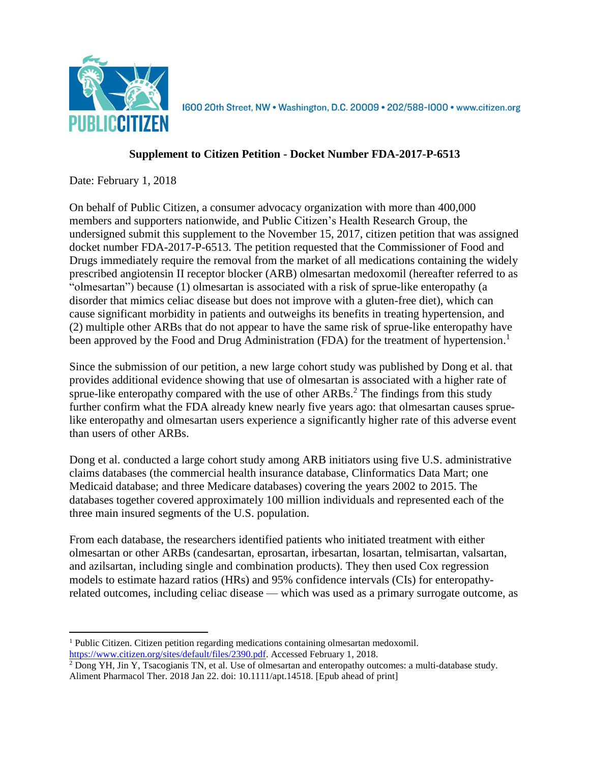

1600 20th Street, NW . Washington, D.C. 20009 . 202/588-1000 . www.citizen.org

## **Supplement to Citizen Petition - Docket Number FDA-2017-P-6513**

Date: February 1, 2018

 $\overline{a}$ 

On behalf of Public Citizen, a consumer advocacy organization with more than 400,000 members and supporters nationwide, and Public Citizen's Health Research Group, the undersigned submit this supplement to the November 15, 2017, citizen petition that was assigned docket number FDA-2017-P-6513. The petition requested that the Commissioner of Food and Drugs immediately require the removal from the market of all medications containing the widely prescribed angiotensin II receptor blocker (ARB) olmesartan medoxomil (hereafter referred to as "olmesartan") because (1) olmesartan is associated with a risk of sprue-like enteropathy (a disorder that mimics celiac disease but does not improve with a gluten-free diet), which can cause significant morbidity in patients and outweighs its benefits in treating hypertension, and (2) multiple other ARBs that do not appear to have the same risk of sprue-like enteropathy have been approved by the Food and Drug Administration (FDA) for the treatment of hypertension.<sup>1</sup>

Since the submission of our petition, a new large cohort study was published by Dong et al. that provides additional evidence showing that use of olmesartan is associated with a higher rate of sprue-like enteropathy compared with the use of other  $ARBs$ <sup>2</sup>. The findings from this study further confirm what the FDA already knew nearly five years ago: that olmesartan causes spruelike enteropathy and olmesartan users experience a significantly higher rate of this adverse event than users of other ARBs.

Dong et al. conducted a large cohort study among ARB initiators using five U.S. administrative claims databases (the commercial health insurance database, Clinformatics Data Mart; one Medicaid database; and three Medicare databases) covering the years 2002 to 2015. The databases together covered approximately 100 million individuals and represented each of the three main insured segments of the U.S. population.

From each database, the researchers identified patients who initiated treatment with either olmesartan or other ARBs (candesartan, eprosartan, irbesartan, losartan, telmisartan, valsartan, and azilsartan, including single and combination products). They then used Cox regression models to estimate hazard ratios (HRs) and 95% confidence intervals (CIs) for enteropathyrelated outcomes, including celiac disease — which was used as a primary surrogate outcome, as

<sup>1</sup> Public Citizen. Citizen petition regarding medications containing olmesartan medoxomil. [https://www.citizen.org/sites/default/files/2390.pdf.](https://www.citizen.org/sites/default/files/2390.pdf) Accessed February 1, 2018.

<sup>2</sup> Dong YH, Jin Y, Tsacogianis TN, et al. Use of olmesartan and enteropathy outcomes: a multi-database study. Aliment Pharmacol Ther. 2018 Jan 22. doi: 10.1111/apt.14518. [Epub ahead of print]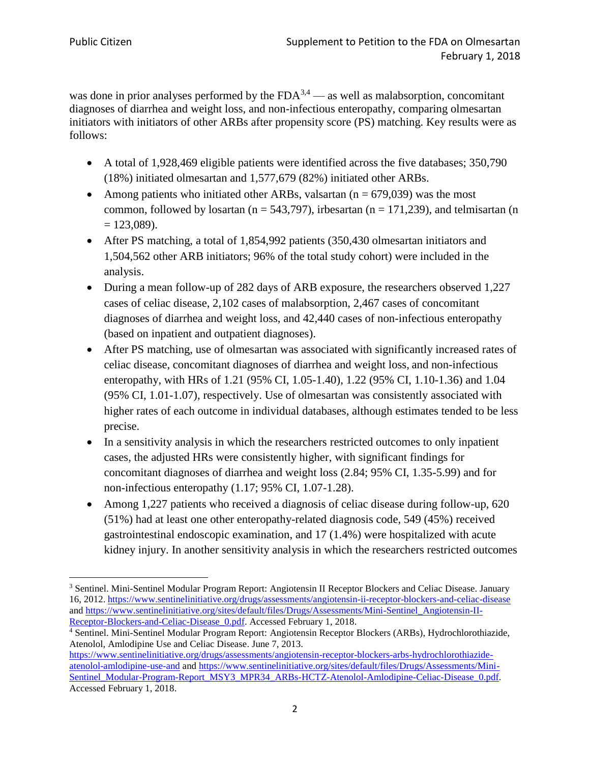was done in prior analyses performed by the  $FDA^{3,4}$  — as well as malabsorption, concomitant diagnoses of diarrhea and weight loss, and non-infectious enteropathy, comparing olmesartan initiators with initiators of other ARBs after propensity score (PS) matching. Key results were as follows:

- A total of 1,928,469 eligible patients were identified across the five databases; 350,790 (18%) initiated olmesartan and 1,577,679 (82%) initiated other ARBs.
- Among patients who initiated other ARBs, valsartan ( $n = 679,039$ ) was the most common, followed by losartan ( $n = 543,797$ ), irbesartan ( $n = 171,239$ ), and telmisartan (n  $= 123,089$ ).
- After PS matching, a total of 1,854,992 patients (350,430 olmesartan initiators and 1,504,562 other ARB initiators; 96% of the total study cohort) were included in the analysis.
- During a mean follow-up of 282 days of ARB exposure, the researchers observed 1,227 cases of celiac disease, 2,102 cases of malabsorption, 2,467 cases of concomitant diagnoses of diarrhea and weight loss, and 42,440 cases of non-infectious enteropathy (based on inpatient and outpatient diagnoses).
- After PS matching, use of olmesartan was associated with significantly increased rates of celiac disease, concomitant diagnoses of diarrhea and weight loss, and non-infectious enteropathy, with HRs of 1.21 (95% CI, 1.05-1.40), 1.22 (95% CI, 1.10-1.36) and 1.04 (95% CI, 1.01-1.07), respectively. Use of olmesartan was consistently associated with higher rates of each outcome in individual databases, although estimates tended to be less precise.
- In a sensitivity analysis in which the researchers restricted outcomes to only inpatient cases, the adjusted HRs were consistently higher, with significant findings for concomitant diagnoses of diarrhea and weight loss (2.84; 95% CI, 1.35-5.99) and for non-infectious enteropathy (1.17; 95% CI, 1.07-1.28).
- Among 1,227 patients who received a diagnosis of celiac disease during follow-up, 620 (51%) had at least one other enteropathy-related diagnosis code, 549 (45%) received gastrointestinal endoscopic examination, and 17 (1.4%) were hospitalized with acute kidney injury. In another sensitivity analysis in which the researchers restricted outcomes

 $\overline{\phantom{a}}$ <sup>3</sup> Sentinel. Mini-Sentinel Modular Program Report: Angiotensin II Receptor Blockers and Celiac Disease. January 16, 2012. <https://www.sentinelinitiative.org/drugs/assessments/angiotensin-ii-receptor-blockers-and-celiac-disease> and [https://www.sentinelinitiative.org/sites/default/files/Drugs/Assessments/Mini-Sentinel\\_Angiotensin-II-](https://www.sentinelinitiative.org/sites/default/files/Drugs/Assessments/Mini-Sentinel_Angiotensin-II-Receptor-Blockers-and-Celiac-Disease_0.pdf)Receptor-Blockers-and-Celiac-Disease 0.pdf. Accessed February 1, 2018.

<sup>4</sup> Sentinel. Mini-Sentinel Modular Program Report: Angiotensin Receptor Blockers (ARBs), Hydrochlorothiazide, Atenolol, Amlodipine Use and Celiac Disease. June 7, 2013.

[https://www.sentinelinitiative.org/drugs/assessments/angiotensin-receptor-blockers-arbs-hydrochlorothiazide](https://www.sentinelinitiative.org/drugs/assessments/angiotensin-receptor-blockers-arbs-hydrochlorothiazide-atenolol-amlodipine-use-and)[atenolol-amlodipine-use-and](https://www.sentinelinitiative.org/drugs/assessments/angiotensin-receptor-blockers-arbs-hydrochlorothiazide-atenolol-amlodipine-use-and) and [https://www.sentinelinitiative.org/sites/default/files/Drugs/Assessments/Mini-](https://www.sentinelinitiative.org/sites/default/files/Drugs/Assessments/Mini-Sentinel_Modular-Program-Report_MSY3_MPR34_ARBs-HCTZ-Atenolol-Amlodipine-Celiac-Disease_0.pdf)[Sentinel\\_Modular-Program-Report\\_MSY3\\_MPR34\\_ARBs-HCTZ-Atenolol-Amlodipine-Celiac-Disease\\_0.pdf.](https://www.sentinelinitiative.org/sites/default/files/Drugs/Assessments/Mini-Sentinel_Modular-Program-Report_MSY3_MPR34_ARBs-HCTZ-Atenolol-Amlodipine-Celiac-Disease_0.pdf) Accessed February 1, 2018.